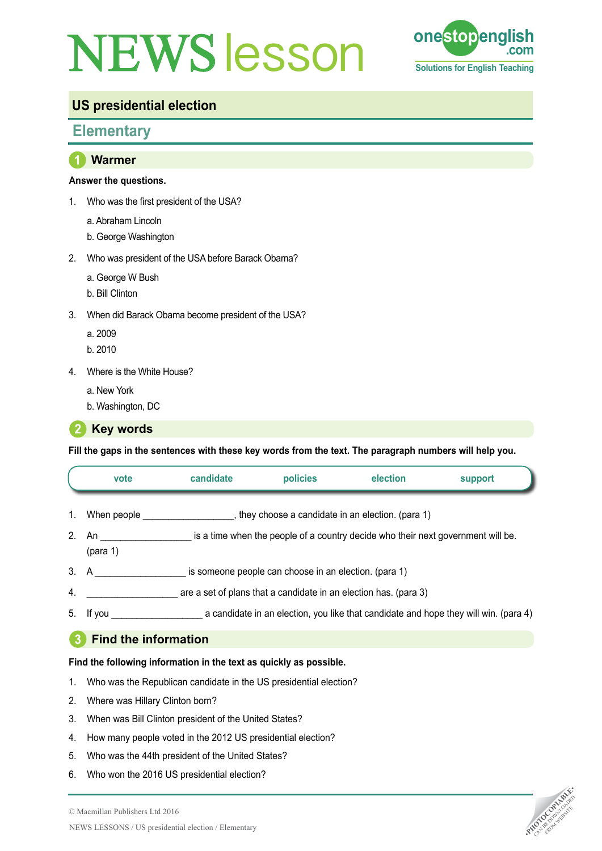# **NEWS esson one stop eng**



# **US presidential election**

# **Elementary**

### **1 Warmer**

#### **Answer the questions.**

- 1. Who was the first president of the USA?
	- a. Abraham Lincoln
	- b. George Washington
- 2. Who was president of the USA before Barack Obama?
	- a. George W Bush
	- b. Bill Clinton
- 3. When did Barack Obama become president of the USA?
	- a. 2009
	- b. 2010
- 4. Where is the White House?
	- a. New York
	- b. Washington, DC

**2 Key words** 

**Fill the gaps in the sentences with these key words from the text. The paragraph numbers will help you.**

|                | vote                        | candidate | policies                                              | election                                                                         | support                                                                              |  |  |  |
|----------------|-----------------------------|-----------|-------------------------------------------------------|----------------------------------------------------------------------------------|--------------------------------------------------------------------------------------|--|--|--|
| 1.             | When people                 |           |                                                       | they choose a candidate in an election. (para 1)                                 |                                                                                      |  |  |  |
| 2 <sup>1</sup> | An<br>(para 1)              |           |                                                       | is a time when the people of a country decide who their next government will be. |                                                                                      |  |  |  |
|                | 3. A                        |           | is someone people can choose in an election. (para 1) |                                                                                  |                                                                                      |  |  |  |
| 4.             |                             |           |                                                       | are a set of plans that a candidate in an election has. (para 3)                 |                                                                                      |  |  |  |
|                | 5. If you                   |           |                                                       |                                                                                  | a candidate in an election, you like that candidate and hope they will win. (para 4) |  |  |  |
|                | <b>Find the information</b> |           |                                                       |                                                                                  |                                                                                      |  |  |  |

#### **3 Find the information**

#### **Find the following information in the text as quickly as possible.**

- 1. Who was the Republican candidate in the US presidential election?
- 2. Where was Hillary Clinton born?
- 3. When was Bill Clinton president of the United States?
- 4. How many people voted in the 2012 US presidential election?
- 5. Who was the 44th president of the United States?
- 6. Who won the 2016 US presidential election?

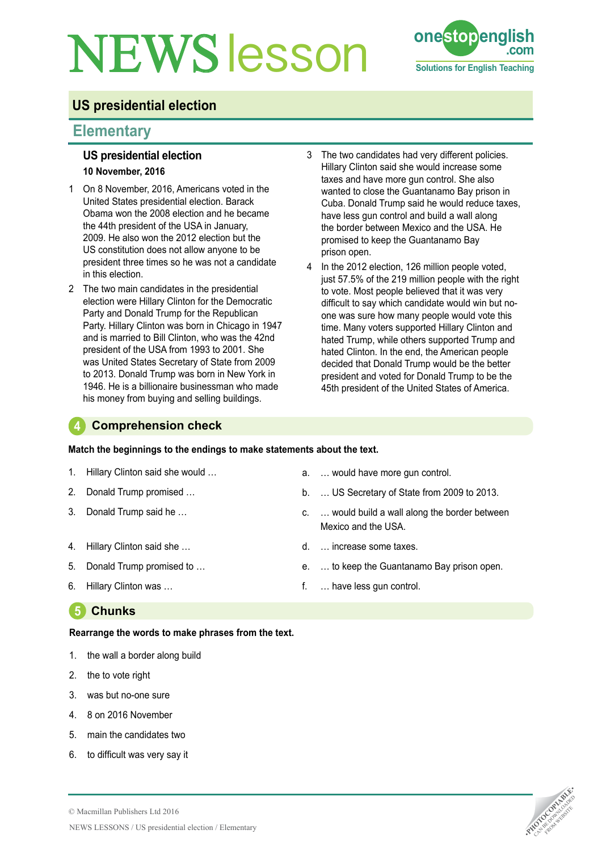# **NEWS** esson **one stop english**



# **US presidential election**

## **Elementary**

#### **US presidential election 10 November, 2016**

- 1 On 8 November, 2016, Americans voted in the United States presidential election. Barack Obama won the 2008 election and he became the 44th president of the USA in January, 2009. He also won the 2012 election but the US constitution does not allow anyone to be president three times so he was not a candidate in this election.
- 2 The two main candidates in the presidential election were Hillary Clinton for the Democratic Party and Donald Trump for the Republican Party. Hillary Clinton was born in Chicago in 1947 and is married to Bill Clinton, who was the 42nd president of the USA from 1993 to 2001. She was United States Secretary of State from 2009 to 2013. Donald Trump was born in New York in 1946. He is a billionaire businessman who made his money from buying and selling buildings.
- 3 The two candidates had very different policies. Hillary Clinton said she would increase some taxes and have more gun control. She also wanted to close the Guantanamo Bay prison in Cuba. Donald Trump said he would reduce taxes, have less gun control and build a wall along the border between Mexico and the USA. He promised to keep the Guantanamo Bay prison open.
- 4 In the 2012 election, 126 million people voted, just 57.5% of the 219 million people with the right to vote. Most people believed that it was very difficult to say which candidate would win but noone was sure how many people would vote this time. Many voters supported Hillary Clinton and hated Trump, while others supported Trump and hated Clinton. In the end, the American people decided that Donald Trump would be the better president and voted for Donald Trump to be the 45th president of the United States of America.

### **4 Comprehension check**

#### **Match the beginnings to the endings to make statements about the text.**

- 1. Hillary Clinton said she would …
- 2. Donald Trump promised …
- 3. Donald Trump said he …
- 4. Hillary Clinton said she …
- 5. Donald Trump promised to …
- 6. Hillary Clinton was …
- a. … would have more gun control.
- b. … US Secretary of State from 2009 to 2013.
- c. … would build a wall along the border between Mexico and the USA.
- d. … increase some taxes.
- e. … to keep the Guantanamo Bay prison open.
- f. … have less gun control.

## **5 Chunks**

#### **Rearrange the words to make phrases from the text.**

- 1. the wall a border along build
- 2. the to vote right
- 3. was but no-one sure
- 4. 8 on 2016 November
- 5. main the candidates two
- 6. to difficult was very say it

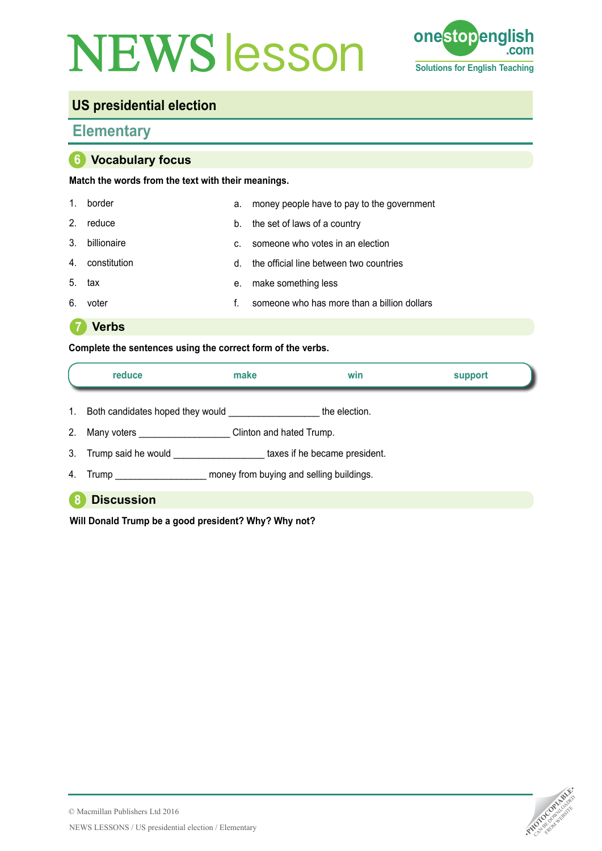# **NEWS esson one stop english come**



# **US presidential election**

## **Elementary**

#### **6 Vocabulary focus**

#### **Match the words from the text with their meanings.**

| $1_{\cdot}$    | border          | а. | money people have to pay to the government  |
|----------------|-----------------|----|---------------------------------------------|
| 2 <sub>1</sub> | reduce          | b. | the set of laws of a country                |
| 3.             | billionaire     | C. | someone who votes in an election            |
|                | 4. constitution | d. | the official line between two countries     |
| 5.             | tax             | е. | make something less                         |
| 6.             | voter           |    | someone who has more than a billion dollars |

**7 Verbs**

#### **Complete the sentences using the correct form of the verbs.**

|                | reduce                           | make                     | win                                      | support |
|----------------|----------------------------------|--------------------------|------------------------------------------|---------|
| $1_{\cdot}$    | Both candidates hoped they would |                          | the election.                            |         |
| 2 <sub>1</sub> | Many voters ___________          | Clinton and hated Trump. |                                          |         |
| 3.             | Trump said he would              |                          | taxes if he became president.            |         |
| 4.             |                                  |                          | money from buying and selling buildings. |         |
|                | <b>Discussion</b>                |                          |                                          |         |

#### **Will Donald Trump be a good president? Why? Why not?**